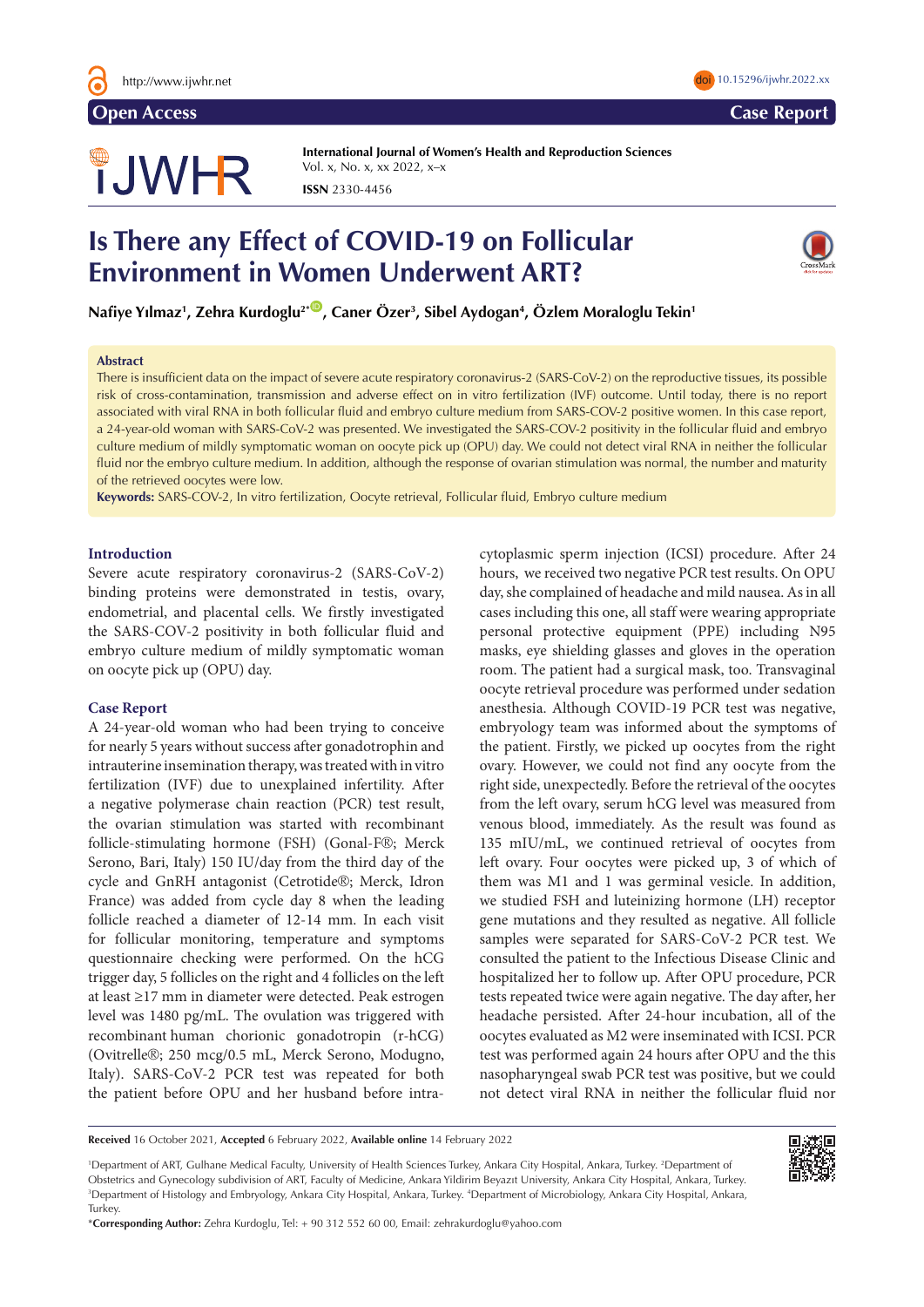

# **JWHR**

**International Journal of Women's Health and Reproduction Sciences**  Vol. x, No. x, xx 2022, x–x **ISSN** 2330-4456

# **Is There any Effect of COVID-19 on Follicular Environment in Women Underwent ART?**



Nafiye Yılmaz<sup>ı</sup>, Zehra Kurdoglu<sup>2</sup>\*®, Caner Özer<sup>3</sup>, Sibel Aydogan<sup>4</sup>, Özlem Moraloglu Tekin<sup>1</sup>

### **Abstract**

There is insufficient data on the impact of severe acute respiratory coronavirus-2 (SARS-CoV-2) on the reproductive tissues, its possible risk of cross-contamination, transmission and adverse effect on in vitro fertilization (IVF) outcome. Until today, there is no report associated with viral RNA in both follicular fluid and embryo culture medium from SARS-COV-2 positive women. In this case report, a 24-year-old woman with SARS-CoV-2 was presented. We investigated the SARS-COV-2 positivity in the follicular fluid and embryo culture medium of mildly symptomatic woman on oocyte pick up (OPU) day. We could not detect viral RNA in neither the follicular fluid nor the embryo culture medium. In addition, although the response of ovarian stimulation was normal, the number and maturity of the retrieved oocytes were low.

**Keywords:** SARS-COV-2, In vitro fertilization, Oocyte retrieval, Follicular fluid, Embryo culture medium

# **Introduction**

Severe acute respiratory coronavirus-2 (SARS-CoV-2) binding proteins were demonstrated in testis, ovary, endometrial, and placental cells. We firstly investigated the SARS-COV-2 positivity in both follicular fluid and embryo culture medium of mildly symptomatic woman on oocyte pick up (OPU) day.

# **Case Report**

A 24-year-old woman who had been trying to conceive for nearly 5 years without success after gonadotrophin and intrauterine insemination therapy, was treated with in vitro fertilization (IVF) due to unexplained infertility. After a negative polymerase chain reaction (PCR) test result, the ovarian stimulation was started with recombinant follicle-stimulating hormone (FSH) (Gonal-F®; Merck Serono, Bari, Italy) 150 IU/day from the third day of the cycle and GnRH antagonist (Cetrotide®; Merck, Idron France) was added from cycle day 8 when the leading follicle reached a diameter of 12-14 mm. In each visit for follicular monitoring, temperature and symptoms questionnaire checking were performed. On the hCG trigger day, 5 follicles on the right and 4 follicles on the left at least ≥17 mm in diameter were detected. Peak estrogen level was 1480 pg/mL. The ovulation was triggered with recombinant human chorionic gonadotropin (r-hCG) (Ovitrelle®; 250 mcg/0.5 mL, Merck Serono, Modugno, Italy). SARS-CoV-2 PCR test was repeated for both the patient before OPU and her husband before intracytoplasmic sperm injection (ICSI) procedure. After 24 hours, we received two negative PCR test results. On OPU day, she complained of headache and mild nausea. As in all cases including this one, all staff were wearing appropriate personal protective equipment (PPE) including N95 masks, eye shielding glasses and gloves in the operation room. The patient had a surgical mask, too. Transvaginal oocyte retrieval procedure was performed under sedation anesthesia. Although COVID-19 PCR test was negative, embryology team was informed about the symptoms of the patient. Firstly, we picked up oocytes from the right ovary. However, we could not find any oocyte from the right side, unexpectedly. Before the retrieval of the oocytes from the left ovary, serum hCG level was measured from venous blood, immediately. As the result was found as 135 mIU/mL, we continued retrieval of oocytes from left ovary. Four oocytes were picked up, 3 of which of them was M1 and 1 was germinal vesicle. In addition, we studied FSH and luteinizing hormone (LH) receptor gene mutations and they resulted as negative. All follicle samples were separated for SARS-CoV-2 PCR test. We consulted the patient to the Infectious Disease Clinic and hospitalized her to follow up. After OPU procedure, PCR tests repeated twice were again negative. The day after, her headache persisted. After 24-hour incubation, all of the oocytes evaluated as M2 were inseminated with ICSI. PCR test was performed again 24 hours after OPU and the this nasopharyngeal swab PCR test was positive, but we could not detect viral RNA in neither the follicular fluid nor

1 Department of ART, Gulhane Medical Faculty, University of Health Sciences Turkey, Ankara City Hospital, Ankara, Turkey. 2 Department of Obstetrics and Gynecology subdivision of ART, Faculty of Medicine, Ankara Yildirim Beyazıt University, Ankara City Hospital, Ankara, Turkey. <sup>3</sup>Department of Histology and Embryology, Ankara City Hospital, Ankara, Turkey. <sup>4</sup>Department of Microbiology, Ankara City Hospital, Ankara, **Turkey** 



**Received** 16 October 2021, **Accepted** 6 February 2022, **Available online** 14 February 2022